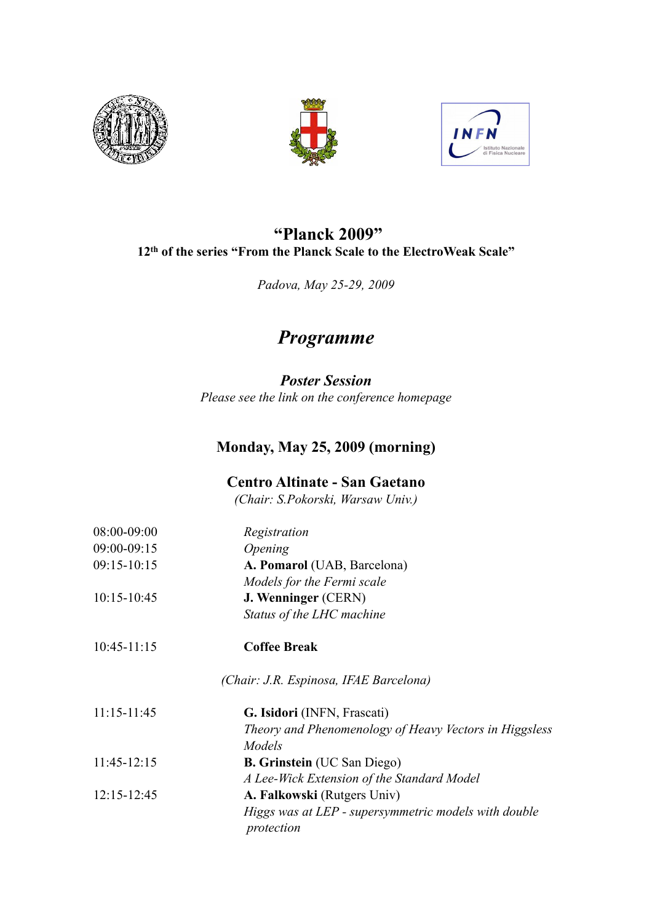





## **"Planck 2009" 12th of the series "From the Planck Scale to the ElectroWeak Scale"**

*Padova, May 25-29, 2009*

# *Programme*

*Poster Session Please see the link on the conference homepage*

### **Monday, May 25, 2009 (morning)**

### **Centro Altinate - San Gaetano**

*(Chair: S.Pokorski, Warsaw Univ.)*

| 08:00-09:00     | Registration                                                       |
|-----------------|--------------------------------------------------------------------|
| 09:00-09:15     | <i><b>Opening</b></i>                                              |
| 09:15-10:15     | A. Pomarol (UAB, Barcelona)                                        |
|                 | Models for the Fermi scale                                         |
| $10:15 - 10:45$ | <b>J. Wenninger (CERN)</b>                                         |
|                 | Status of the LHC machine                                          |
| $10:45 - 11:15$ | <b>Coffee Break</b>                                                |
|                 | (Chair: J.R. Espinosa, IFAE Barcelona)                             |
| $11:15 - 11:45$ | G. Isidori (INFN, Frascati)                                        |
|                 | Theory and Phenomenology of Heavy Vectors in Higgsless             |
|                 | Models                                                             |
| $11:45-12:15$   | <b>B. Grinstein</b> (UC San Diego)                                 |
|                 | A Lee-Wick Extension of the Standard Model                         |
| 12:15-12:45     | A. Falkowski (Rutgers Univ)                                        |
|                 | Higgs was at LEP - supersymmetric models with double<br>protection |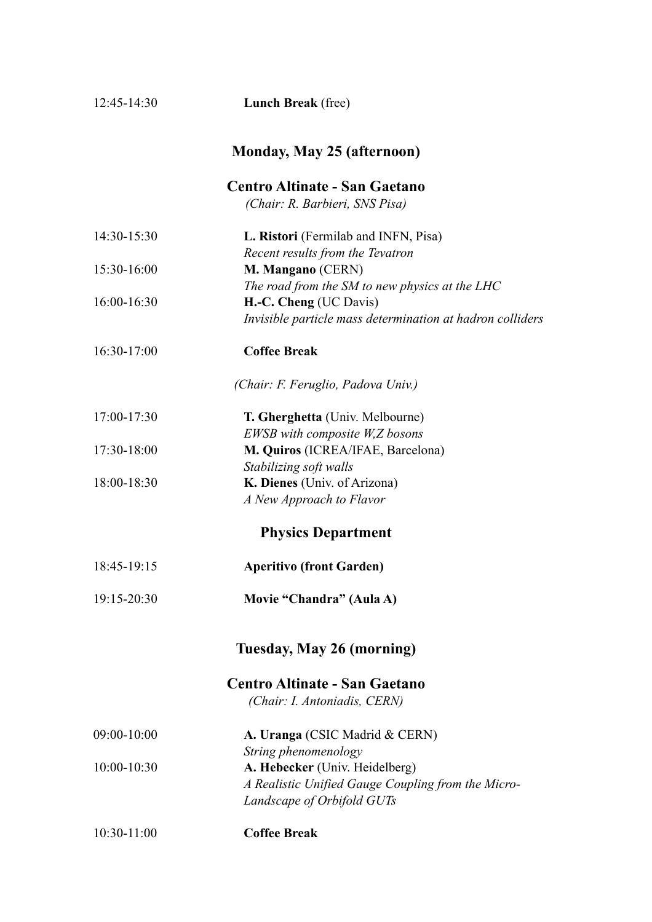| 12:45-14:30     | <b>Lunch Break</b> (free)                                 |
|-----------------|-----------------------------------------------------------|
|                 | <b>Monday, May 25 (afternoon)</b>                         |
|                 | <b>Centro Altinate - San Gaetano</b>                      |
|                 | (Chair: R. Barbieri, SNS Pisa)                            |
| 14:30-15:30     | L. Ristori (Fermilab and INFN, Pisa)                      |
|                 | Recent results from the Tevatron                          |
| 15:30-16:00     | M. Mangano (CERN)                                         |
|                 | The road from the SM to new physics at the LHC            |
| 16:00-16:30     | H.-C. Cheng (UC Davis)                                    |
|                 | Invisible particle mass determination at hadron colliders |
| 16:30-17:00     | <b>Coffee Break</b>                                       |
|                 | (Chair: F. Feruglio, Padova Univ.)                        |
| 17:00-17:30     | T. Gherghetta (Univ. Melbourne)                           |
|                 | EWSB with composite W,Z bosons                            |
| 17:30-18:00     | M. Quiros (ICREA/IFAE, Barcelona)                         |
|                 | Stabilizing soft walls                                    |
| 18:00-18:30     | K. Dienes (Univ. of Arizona)                              |
|                 | A New Approach to Flavor                                  |
|                 | <b>Physics Department</b>                                 |
| 18:45-19:15     | <b>Aperitivo (front Garden)</b>                           |
| 19:15-20:30     | Movie "Chandra" (Aula A)                                  |
|                 | Tuesday, May 26 (morning)                                 |
|                 | <b>Centro Altinate - San Gaetano</b>                      |
|                 | (Chair: I. Antoniadis, CERN)                              |
| 09:00-10:00     | A. Uranga (CSIC Madrid & CERN)                            |
|                 | String phenomenology                                      |
| $10:00 - 10:30$ | A. Hebecker (Univ. Heidelberg)                            |
|                 | A Realistic Unified Gauge Coupling from the Micro-        |
|                 | Landscape of Orbifold GUTs                                |
| $10:30-11:00$   | <b>Coffee Break</b>                                       |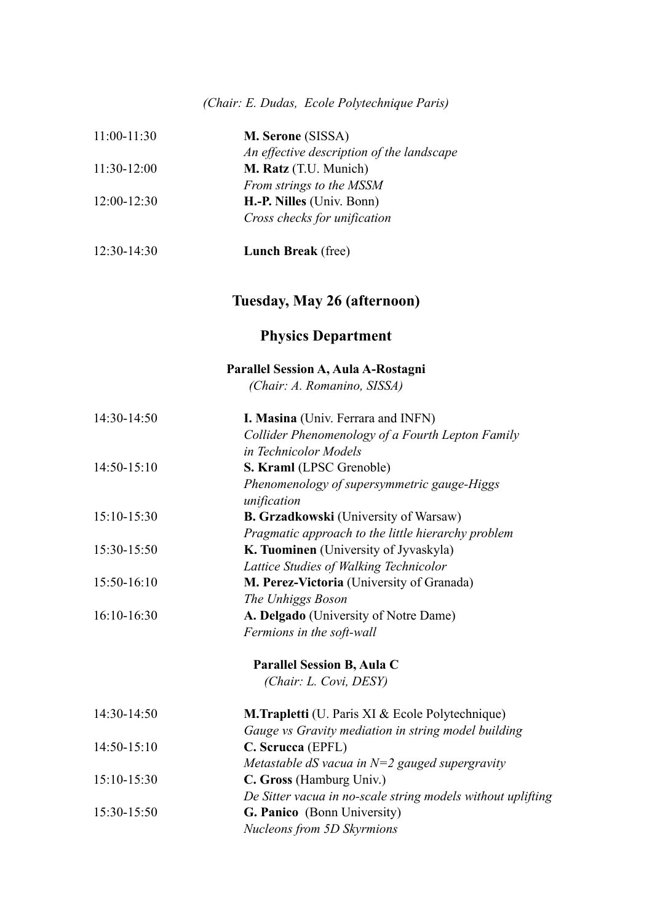### *(Chair: E. Dudas, Ecole Polytechnique Paris)*

| 11:00-11:30   | M. Serone (SISSA)                                           |
|---------------|-------------------------------------------------------------|
|               | An effective description of the landscape                   |
| $11:30-12:00$ | M. Ratz (T.U. Munich)                                       |
|               | From strings to the MSSM                                    |
| 12:00-12:30   | H.-P. Nilles (Univ. Bonn)                                   |
|               | Cross checks for unification                                |
| 12:30-14:30   | <b>Lunch Break</b> (free)                                   |
|               | Tuesday, May 26 (afternoon)                                 |
|               | <b>Physics Department</b>                                   |
|               | Parallel Session A, Aula A-Rostagni                         |
|               | (Chair: A. Romanino, SISSA)                                 |
| 14:30-14:50   | I. Masina (Univ. Ferrara and INFN)                          |
|               | Collider Phenomenology of a Fourth Lepton Family            |
|               | in Technicolor Models                                       |
| 14:50-15:10   | S. Kraml (LPSC Grenoble)                                    |
|               | Phenomenology of supersymmetric gauge-Higgs                 |
|               | unification                                                 |
| 15:10-15:30   | <b>B. Grzadkowski</b> (University of Warsaw)                |
|               | Pragmatic approach to the little hierarchy problem          |
| 15:30-15:50   | K. Tuominen (University of Jyvaskyla)                       |
|               | Lattice Studies of Walking Technicolor                      |
| 15:50-16:10   | M. Perez-Victoria (University of Granada)                   |
|               | The Unhiggs Boson                                           |
| 16:10-16:30   | A. Delgado (University of Notre Dame)                       |
|               | Fermions in the soft-wall                                   |
|               | Parallel Session B, Aula C                                  |
|               | (Chair: L. Covi, DESY)                                      |
| 14:30-14:50   | <b>M.Trapletti</b> (U. Paris XI & Ecole Polytechnique)      |
|               | Gauge vs Gravity mediation in string model building         |
| $14:50-15:10$ | C. Scrucca (EPFL)                                           |
|               | Metastable dS vacua in $N=2$ gauged supergravity            |
| 15:10-15:30   | C. Gross (Hamburg Univ.)                                    |
|               | De Sitter vacua in no-scale string models without uplifting |
| 15:30-15:50   | G. Panico (Bonn University)                                 |
|               | Nucleons from 5D Skyrmions                                  |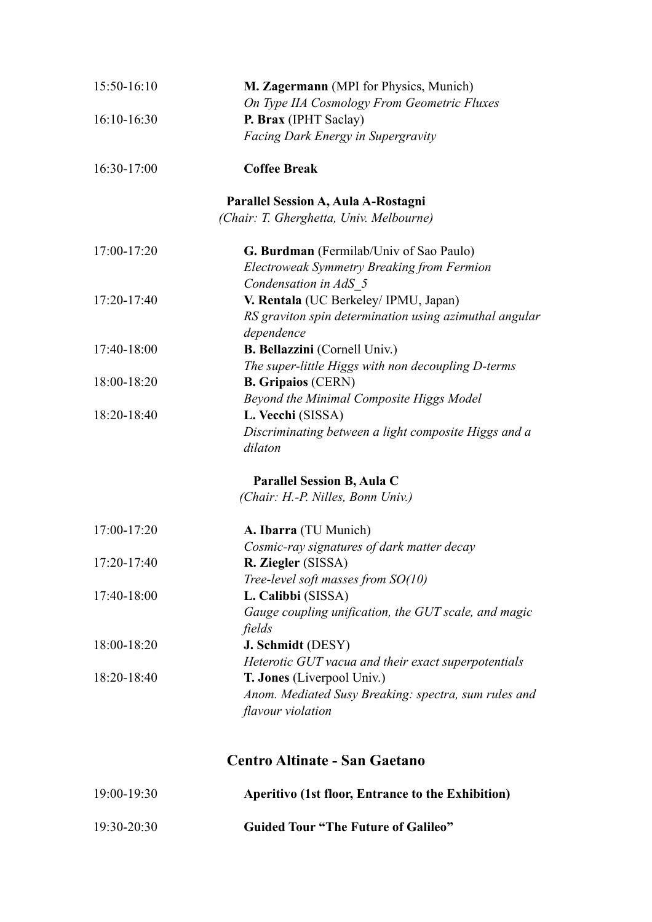| 15:50-16:10   | M. Zagermann (MPI for Physics, Munich)                               |
|---------------|----------------------------------------------------------------------|
|               | On Type IIA Cosmology From Geometric Fluxes                          |
| 16:10-16:30   | P. Brax (IPHT Saclay)                                                |
|               | <b>Facing Dark Energy in Supergravity</b>                            |
| 16:30-17:00   | <b>Coffee Break</b>                                                  |
|               | Parallel Session A, Aula A-Rostagni                                  |
|               | (Chair: T. Gherghetta, Univ. Melbourne)                              |
| 17:00-17:20   | G. Burdman (Fermilab/Univ of Sao Paulo)                              |
|               | Electroweak Symmetry Breaking from Fermion                           |
|               | Condensation in AdS 5                                                |
| 17:20-17:40   | V. Rentala (UC Berkeley/IPMU, Japan)                                 |
|               | RS graviton spin determination using azimuthal angular<br>dependence |
| 17:40-18:00   | <b>B. Bellazzini</b> (Cornell Univ.)                                 |
|               | The super-little Higgs with non decoupling D-terms                   |
| 18:00-18:20   | <b>B. Gripaios (CERN)</b>                                            |
|               | Beyond the Minimal Composite Higgs Model                             |
| 18:20-18:40   | L. Vecchi (SISSA)                                                    |
|               | Discriminating between a light composite Higgs and a<br>dilaton      |
|               | Parallel Session B, Aula C                                           |
|               | (Chair: H.-P. Nilles, Bonn Univ.)                                    |
| 17:00-17:20   | A. Ibarra (TU Munich)                                                |
|               | Cosmic-ray signatures of dark matter decay                           |
| $17:20-17:40$ | R. Ziegler (SISSA)                                                   |
|               | Tree-level soft masses from $SO(10)$                                 |
| 17:40-18:00   | L. Calibbi (SISSA)                                                   |
|               | Gauge coupling unification, the GUT scale, and magic                 |
|               | fields                                                               |
| 18:00-18:20   | J. Schmidt (DESY)                                                    |
|               | Heterotic GUT vacua and their exact superpotentials                  |
| 18:20-18:40   | T. Jones (Liverpool Univ.)                                           |
|               | Anom. Mediated Susy Breaking: spectra, sum rules and                 |
|               | flavour violation                                                    |
|               | <b>Centro Altinate - San Gaetano</b>                                 |
|               |                                                                      |

| $19:00-19:30$   | Aperitivo (1st floor, Entrance to the Exhibition) |
|-----------------|---------------------------------------------------|
| $19:30 - 20:30$ | <b>Guided Tour "The Future of Galileo"</b>        |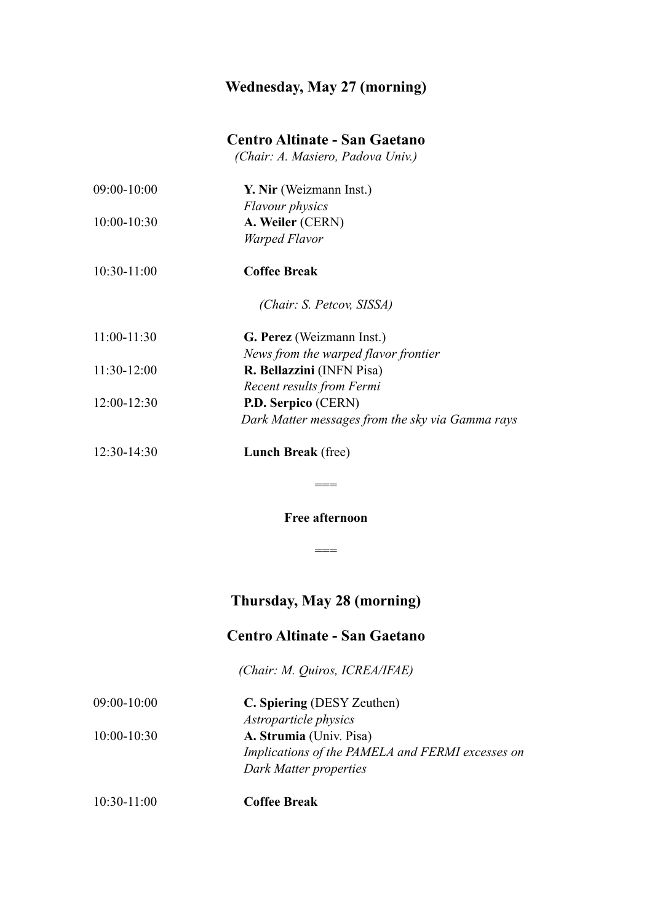### **Wednesday, May 27 (morning)**

### **Centro Altinate - San Gaetano**

*(Chair: A. Masiero, Padova Univ.)*

| $09:00 - 10:00$ | Y. Nir (Weizmann Inst.)                          |
|-----------------|--------------------------------------------------|
|                 | <b>Flavour physics</b>                           |
| $10:00 - 10:30$ | A. Weiler (CERN)                                 |
|                 | Warped Flavor                                    |
| $10:30-11:00$   | <b>Coffee Break</b>                              |
|                 | (Chair: S. Petcov, SISSA)                        |
| $11:00-11:30$   | G. Perez (Weizmann Inst.)                        |
|                 | News from the warped flavor frontier             |
| $11:30-12:00$   | R. Bellazzini (INFN Pisa)                        |
|                 | Recent results from Fermi                        |
| $12:00-12:30$   | P.D. Serpico (CERN)                              |
|                 | Dark Matter messages from the sky via Gamma rays |
| $12:30-14:30$   | <b>Lunch Break</b> (free)                        |

**Free afternoon**

 $=$ 

 $=$ 

## **Thursday, May 28 (morning)**

## **Centro Altinate - San Gaetano**

*(Chair: M. Quiros, ICREA/IFAE)*

| $09:00 - 10:00$ | C. Spiering (DESY Zeuthen)                       |
|-----------------|--------------------------------------------------|
|                 | <i>Astroparticle physics</i>                     |
| $10:00 - 10:30$ | A. Strumia (Univ. Pisa)                          |
|                 | Implications of the PAMELA and FERMI excesses on |
|                 | Dark Matter properties                           |
|                 |                                                  |

10:30-11:00 **Coffee Break**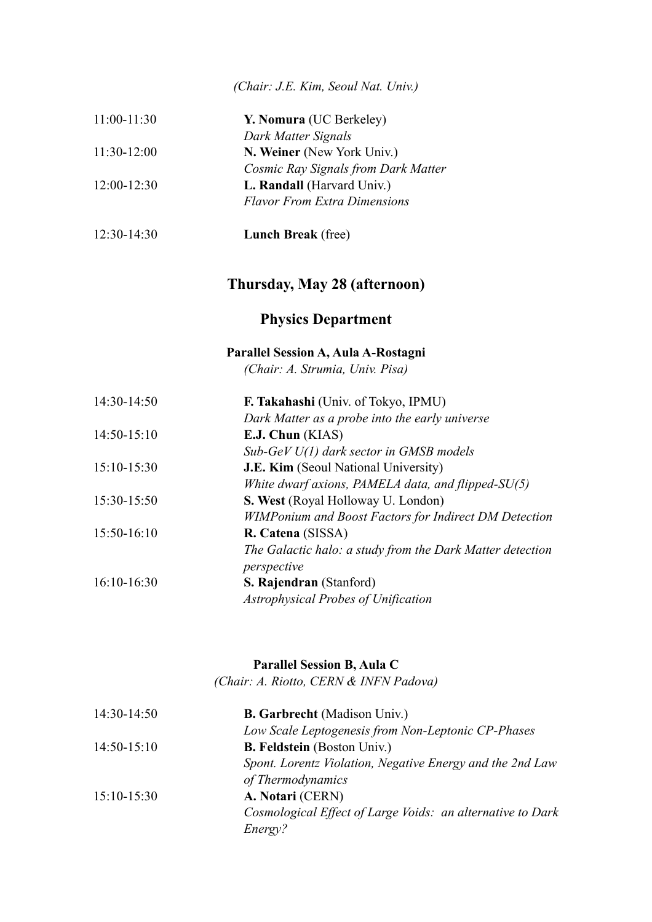*(Chair: J.E. Kim, Seoul Nat. Univ.)*

| $11:00-11:30$ | Y. Nomura (UC Berkeley)             |
|---------------|-------------------------------------|
|               | Dark Matter Signals                 |
| $11:30-12:00$ | N. Weiner (New York Univ.)          |
|               | Cosmic Ray Signals from Dark Matter |
| $12:00-12:30$ | L. Randall (Harvard Univ.)          |
|               | <b>Flavor From Extra Dimensions</b> |
|               |                                     |

#### 12:30-14:30 **Lunch Break** (free)

## **Thursday, May 28 (afternoon)**

### **Physics Department**

## **Parallel Session A, Aula A-Rostagni**

*(Chair: A. Strumia, Univ. Pisa)*

| 14:30-14:50   | F. Takahashi (Univ. of Tokyo, IPMU)                          |
|---------------|--------------------------------------------------------------|
|               | Dark Matter as a probe into the early universe               |
| $14:50-15:10$ | E.J. Chun (KIAS)                                             |
|               | $Sub-GeV U(1)$ dark sector in GMSB models                    |
| $15:10-15:30$ | <b>J.E. Kim</b> (Seoul National University)                  |
|               | White dwarf axions, PAMELA data, and flipped-SU(5)           |
| 15:30-15:50   | <b>S. West</b> (Royal Holloway U. London)                    |
|               | <b>WIMPonium and Boost Factors for Indirect DM Detection</b> |
| 15:50-16:10   | R. Catena (SISSA)                                            |
|               | The Galactic halo: a study from the Dark Matter detection    |
|               | perspective                                                  |
| $16:10-16:30$ | S. Rajendran (Stanford)                                      |
|               | Astrophysical Probes of Unification                          |
|               |                                                              |

#### **Parallel Session B, Aula C**

*(Chair: A. Riotto, CERN & INFN Padova)*

| $14:30-14:50$ | <b>B. Garbrecht</b> (Madison Univ.)                        |
|---------------|------------------------------------------------------------|
|               | Low Scale Leptogenesis from Non-Leptonic CP-Phases         |
| $14:50-15:10$ | <b>B. Feldstein</b> (Boston Univ.)                         |
|               | Spont. Lorentz Violation, Negative Energy and the 2nd Law  |
|               | of Thermodynamics                                          |
| $15:10-15:30$ | A. Notari (CERN)                                           |
|               | Cosmological Effect of Large Voids: an alternative to Dark |
|               | Energy?                                                    |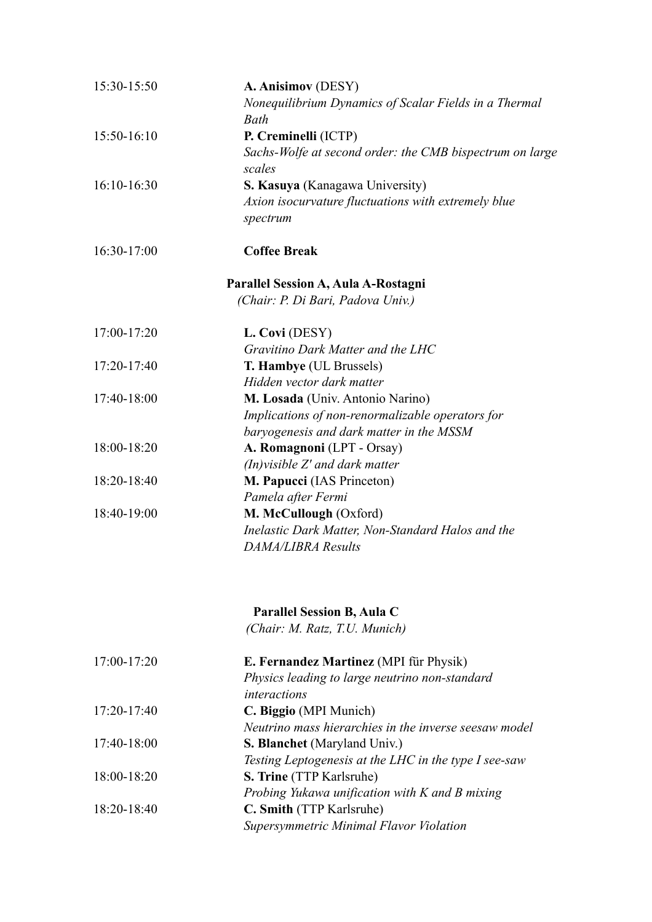| 15:30-15:50 | A. Anisimov (DESY)<br>Nonequilibrium Dynamics of Scalar Fields in a Thermal |
|-------------|-----------------------------------------------------------------------------|
|             | Bath                                                                        |
| 15:50-16:10 | P. Creminelli (ICTP)                                                        |
|             | Sachs-Wolfe at second order: the CMB bispectrum on large                    |
|             | scales                                                                      |
| 16:10-16:30 | S. Kasuya (Kanagawa University)                                             |
|             | Axion isocurvature fluctuations with extremely blue                         |
|             | spectrum                                                                    |
| 16:30-17:00 | <b>Coffee Break</b>                                                         |
|             | Parallel Session A, Aula A-Rostagni                                         |
|             | (Chair: P. Di Bari, Padova Univ.)                                           |
| 17:00-17:20 | L. Covi (DESY)                                                              |
|             | Gravitino Dark Matter and the LHC                                           |
| 17:20-17:40 | T. Hambye (UL Brussels)                                                     |
|             | Hidden vector dark matter                                                   |
| 17:40-18:00 | M. Losada (Univ. Antonio Narino)                                            |
|             | Implications of non-renormalizable operators for                            |
|             | baryogenesis and dark matter in the MSSM                                    |
| 18:00-18:20 | A. Romagnoni (LPT - Orsay)                                                  |
|             | $(In)$ visible $Z'$ and dark matter                                         |
| 18:20-18:40 | M. Papucci (IAS Princeton)                                                  |
|             | Pamela after Fermi                                                          |
| 18:40-19:00 | M. McCullough (Oxford)                                                      |
|             | Inelastic Dark Matter, Non-Standard Halos and the                           |
|             | <b>DAMA/LIBRA Results</b>                                                   |
|             | <b>Parallel Session B, Aula C</b>                                           |
|             | (Chair: M. Ratz, T.U. Munich)                                               |
| 17:00-17:20 | E. Fernandez Martinez (MPI für Physik)                                      |
|             | Physics leading to large neutrino non-standard<br>interactions              |
| 17:20-17:40 | C. Biggio (MPI Munich)                                                      |
|             | Neutrino mass hierarchies in the inverse seesaw model                       |
| 17:40-18:00 | <b>S. Blanchet</b> (Maryland Univ.)                                         |
|             | Testing Leptogenesis at the LHC in the type I see-saw                       |
| 18:00-18:20 | <b>S. Trine</b> (TTP Karlsruhe)                                             |
|             | Probing Yukawa unification with K and B mixing                              |
| 18:20-18:40 | C. Smith (TTP Karlsruhe)                                                    |
|             | Supersymmetric Minimal Flavor Violation                                     |
|             |                                                                             |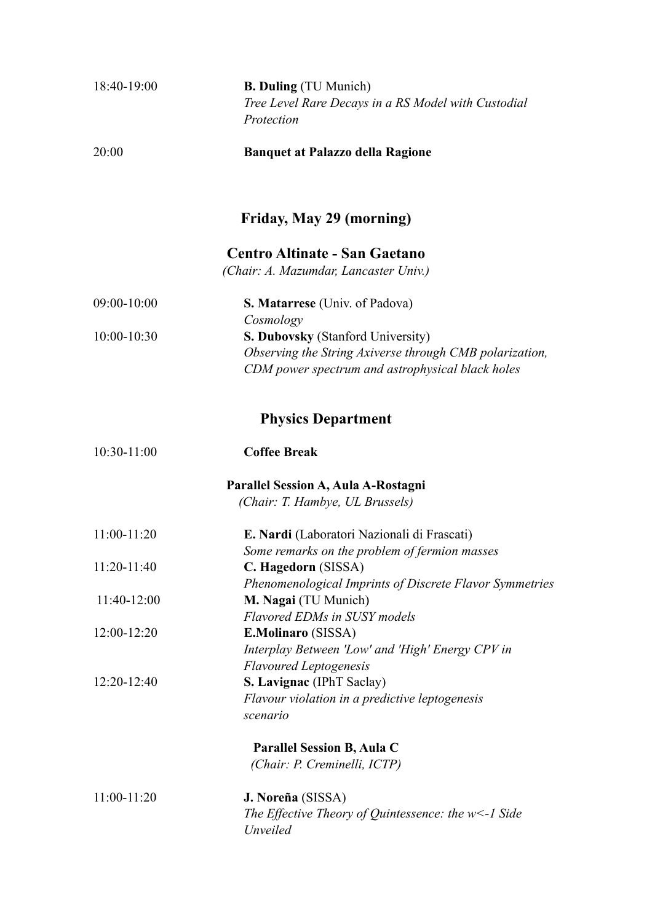| 18:40-19:00   | <b>B. Duling</b> (TU Munich)                                                      |
|---------------|-----------------------------------------------------------------------------------|
|               | Tree Level Rare Decays in a RS Model with Custodial                               |
|               | Protection                                                                        |
| 20:00         | <b>Banquet at Palazzo della Ragione</b>                                           |
|               | Friday, May 29 (morning)                                                          |
|               | <b>Centro Altinate - San Gaetano</b><br>(Chair: A. Mazumdar, Lancaster Univ.)     |
| 09:00-10:00   | S. Matarrese (Univ. of Padova)<br>Cosmology                                       |
| 10:00-10:30   | <b>S. Dubovsky (Stanford University)</b>                                          |
|               | Observing the String Axiverse through CMB polarization,                           |
|               | CDM power spectrum and astrophysical black holes                                  |
|               | <b>Physics Department</b>                                                         |
| 10:30-11:00   | <b>Coffee Break</b>                                                               |
|               | Parallel Session A, Aula A-Rostagni                                               |
|               | (Chair: T. Hambye, UL Brussels)                                                   |
| 11:00-11:20   | E. Nardi (Laboratori Nazionali di Frascati)                                       |
| $11:20-11:40$ | Some remarks on the problem of fermion masses<br>C. Hagedorn (SISSA)              |
|               | Phenomenological Imprints of Discrete Flavor Symmetries                           |
| 11:40-12:00   | M. Nagai (TU Munich)                                                              |
|               | <b>Flavored EDMs in SUSY models</b>                                               |
| $12:00-12:20$ | <b>E.Molinaro</b> (SISSA)                                                         |
|               | Interplay Between 'Low' and 'High' Energy CPV in<br><b>Flavoured Leptogenesis</b> |
| 12:20-12:40   | S. Lavignac (IPhT Saclay)                                                         |
|               | Flavour violation in a predictive leptogenesis                                    |
|               | scenario                                                                          |
|               | Parallel Session B, Aula C                                                        |
|               | (Chair: P. Creminelli, ICTP)                                                      |
| $11:00-11:20$ | J. Noreña (SISSA)                                                                 |
|               | The Effective Theory of Quintessence: the $w$ <-1 Side                            |
|               | Unveiled                                                                          |